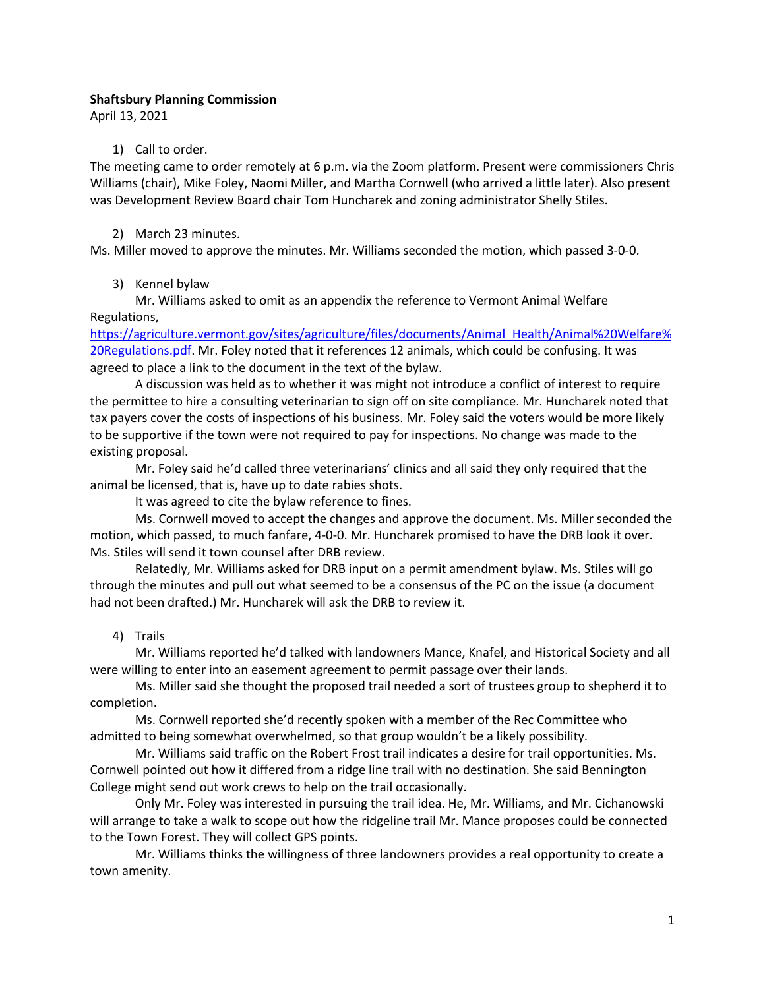## **Shaftsbury Planning Commission**

April 13, 2021

#### 1) Call to order.

The meeting came to order remotely at 6 p.m. via the Zoom platform. Present were commissioners Chris Williams (chair), Mike Foley, Naomi Miller, and Martha Cornwell (who arrived a little later). Also present was Development Review Board chair Tom Huncharek and zoning administrator Shelly Stiles.

#### 2) March 23 minutes.

Ms. Miller moved to approve the minutes. Mr. Williams seconded the motion, which passed 3-0-0.

## 3) Kennel bylaw

Mr. Williams asked to omit as an appendix the reference to Vermont Animal Welfare Regulations,

https://agriculture.vermont.gov/sites/agriculture/files/documents/Animal\_Health/Animal%20Welfare% 20Regulations.pdf. Mr. Foley noted that it references 12 animals, which could be confusing. It was agreed to place a link to the document in the text of the bylaw.

A discussion was held as to whether it was might not introduce a conflict of interest to require the permittee to hire a consulting veterinarian to sign off on site compliance. Mr. Huncharek noted that tax payers cover the costs of inspections of his business. Mr. Foley said the voters would be more likely to be supportive if the town were not required to pay for inspections. No change was made to the existing proposal.

Mr. Foley said he'd called three veterinarians' clinics and all said they only required that the animal be licensed, that is, have up to date rabies shots.

It was agreed to cite the bylaw reference to fines.

Ms. Cornwell moved to accept the changes and approve the document. Ms. Miller seconded the motion, which passed, to much fanfare, 4-0-0. Mr. Huncharek promised to have the DRB look it over. Ms. Stiles will send it town counsel after DRB review.

Relatedly, Mr. Williams asked for DRB input on a permit amendment bylaw. Ms. Stiles will go through the minutes and pull out what seemed to be a consensus of the PC on the issue (a document had not been drafted.) Mr. Huncharek will ask the DRB to review it.

## 4) Trails

Mr. Williams reported he'd talked with landowners Mance, Knafel, and Historical Society and all were willing to enter into an easement agreement to permit passage over their lands.

Ms. Miller said she thought the proposed trail needed a sort of trustees group to shepherd it to completion.

Ms. Cornwell reported she'd recently spoken with a member of the Rec Committee who admitted to being somewhat overwhelmed, so that group wouldn't be a likely possibility.

Mr. Williams said traffic on the Robert Frost trail indicates a desire for trail opportunities. Ms. Cornwell pointed out how it differed from a ridge line trail with no destination. She said Bennington College might send out work crews to help on the trail occasionally.

Only Mr. Foley was interested in pursuing the trail idea. He, Mr. Williams, and Mr. Cichanowski will arrange to take a walk to scope out how the ridgeline trail Mr. Mance proposes could be connected to the Town Forest. They will collect GPS points.

Mr. Williams thinks the willingness of three landowners provides a real opportunity to create a town amenity.